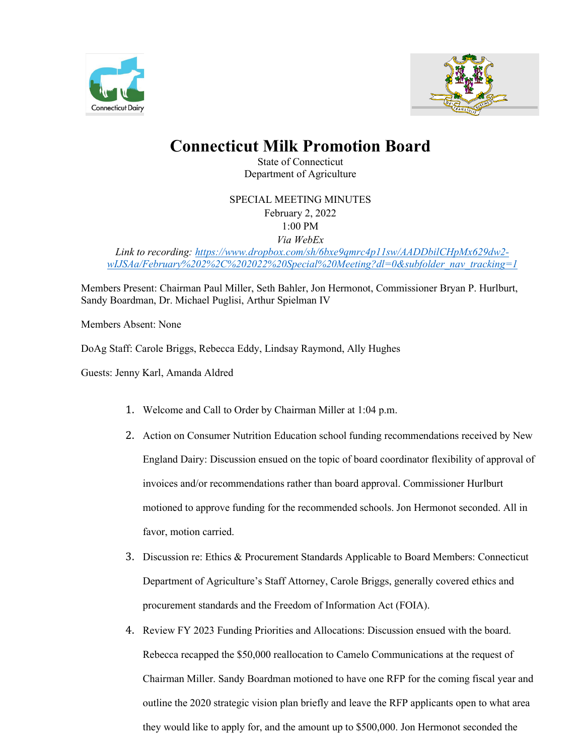



## **Connecticut Milk Promotion Board**

State of Connecticut Department of Agriculture

SPECIAL MEETING MINUTES February 2, 2022 1:00 PM *Via WebEx*

*Link to recording: [https://www.dropbox.com/sh/6bxe9qmrc4p11sw/AADDbilCHpMx629dw2](https://www.dropbox.com/sh/6bxe9qmrc4p11sw/AADDbilCHpMx629dw2-wIJSAa/February%202%2C%202022%20Special%20Meeting?dl=0&subfolder_nav_tracking=1) [wIJSAa/February%202%2C%202022%20Special%20Meeting?dl=0&subfolder\\_nav\\_tracking=1](https://www.dropbox.com/sh/6bxe9qmrc4p11sw/AADDbilCHpMx629dw2-wIJSAa/February%202%2C%202022%20Special%20Meeting?dl=0&subfolder_nav_tracking=1)*

Members Present: Chairman Paul Miller, Seth Bahler, Jon Hermonot, Commissioner Bryan P. Hurlburt, Sandy Boardman, Dr. Michael Puglisi, Arthur Spielman IV

Members Absent: None

DoAg Staff: Carole Briggs, Rebecca Eddy, Lindsay Raymond, Ally Hughes

Guests: Jenny Karl, Amanda Aldred

- 1. Welcome and Call to Order by Chairman Miller at 1:04 p.m.
- 2. Action on Consumer Nutrition Education school funding recommendations received by New England Dairy: Discussion ensued on the topic of board coordinator flexibility of approval of invoices and/or recommendations rather than board approval. Commissioner Hurlburt motioned to approve funding for the recommended schools. Jon Hermonot seconded. All in favor, motion carried.
- 3. Discussion re: Ethics & Procurement Standards Applicable to Board Members: Connecticut Department of Agriculture's Staff Attorney, Carole Briggs, generally covered ethics and procurement standards and the Freedom of Information Act (FOIA).
- 4. Review FY 2023 Funding Priorities and Allocations: Discussion ensued with the board. Rebecca recapped the \$50,000 reallocation to Camelo Communications at the request of Chairman Miller. Sandy Boardman motioned to have one RFP for the coming fiscal year and outline the 2020 strategic vision plan briefly and leave the RFP applicants open to what area they would like to apply for, and the amount up to \$500,000. Jon Hermonot seconded the